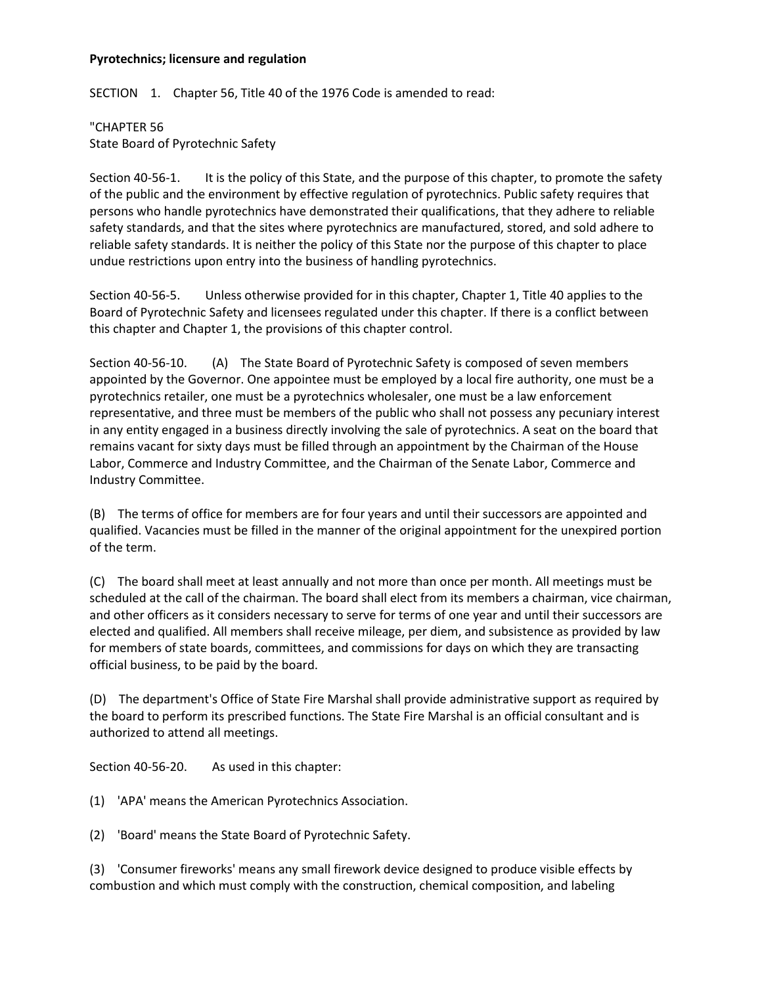## **Pyrotechnics; licensure and regulation**

SECTION 1. Chapter 56, Title 40 of the 1976 Code is amended to read:

"CHAPTER 56 State Board of Pyrotechnic Safety

Section 40-56-1. It is the policy of this State, and the purpose of this chapter, to promote the safety of the public and the environment by effective regulation of pyrotechnics. Public safety requires that persons who handle pyrotechnics have demonstrated their qualifications, that they adhere to reliable safety standards, and that the sites where pyrotechnics are manufactured, stored, and sold adhere to reliable safety standards. It is neither the policy of this State nor the purpose of this chapter to place undue restrictions upon entry into the business of handling pyrotechnics.

Section 40-56-5. Unless otherwise provided for in this chapter, Chapter 1, Title 40 applies to the Board of Pyrotechnic Safety and licensees regulated under this chapter. If there is a conflict between this chapter and Chapter 1, the provisions of this chapter control.

Section 40-56-10. (A) The State Board of Pyrotechnic Safety is composed of seven members appointed by the Governor. One appointee must be employed by a local fire authority, one must be a pyrotechnics retailer, one must be a pyrotechnics wholesaler, one must be a law enforcement representative, and three must be members of the public who shall not possess any pecuniary interest in any entity engaged in a business directly involving the sale of pyrotechnics. A seat on the board that remains vacant for sixty days must be filled through an appointment by the Chairman of the House Labor, Commerce and Industry Committee, and the Chairman of the Senate Labor, Commerce and Industry Committee.

(B) The terms of office for members are for four years and until their successors are appointed and qualified. Vacancies must be filled in the manner of the original appointment for the unexpired portion of the term.

(C) The board shall meet at least annually and not more than once per month. All meetings must be scheduled at the call of the chairman. The board shall elect from its members a chairman, vice chairman, and other officers as it considers necessary to serve for terms of one year and until their successors are elected and qualified. All members shall receive mileage, per diem, and subsistence as provided by law for members of state boards, committees, and commissions for days on which they are transacting official business, to be paid by the board.

(D) The department's Office of State Fire Marshal shall provide administrative support as required by the board to perform its prescribed functions. The State Fire Marshal is an official consultant and is authorized to attend all meetings.

Section 40-56-20. As used in this chapter:

(1) 'APA' means the American Pyrotechnics Association.

(2) 'Board' means the State Board of Pyrotechnic Safety.

(3) 'Consumer fireworks' means any small firework device designed to produce visible effects by combustion and which must comply with the construction, chemical composition, and labeling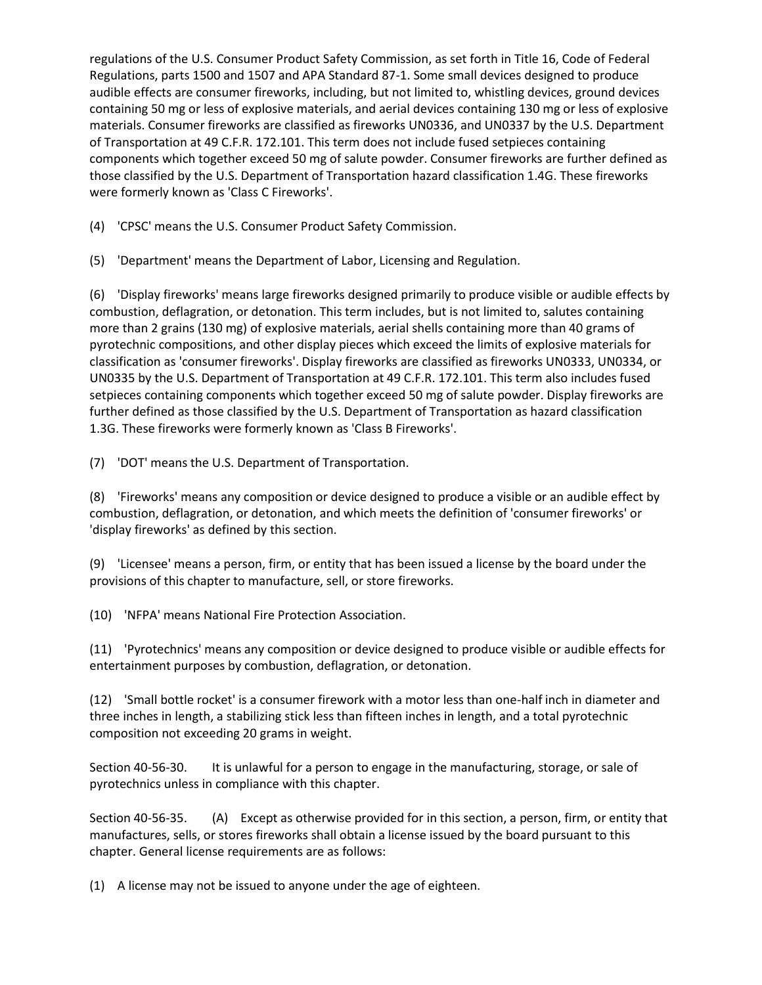regulations of the U.S. Consumer Product Safety Commission, as set forth in Title 16, Code of Federal Regulations, parts 1500 and 1507 and APA Standard 87-1. Some small devices designed to produce audible effects are consumer fireworks, including, but not limited to, whistling devices, ground devices containing 50 mg or less of explosive materials, and aerial devices containing 130 mg or less of explosive materials. Consumer fireworks are classified as fireworks UN0336, and UN0337 by the U.S. Department of Transportation at 49 C.F.R. 172.101. This term does not include fused setpieces containing components which together exceed 50 mg of salute powder. Consumer fireworks are further defined as those classified by the U.S. Department of Transportation hazard classification 1.4G. These fireworks were formerly known as 'Class C Fireworks'.

(4) 'CPSC' means the U.S. Consumer Product Safety Commission.

(5) 'Department' means the Department of Labor, Licensing and Regulation.

(6) 'Display fireworks' means large fireworks designed primarily to produce visible or audible effects by combustion, deflagration, or detonation. This term includes, but is not limited to, salutes containing more than 2 grains (130 mg) of explosive materials, aerial shells containing more than 40 grams of pyrotechnic compositions, and other display pieces which exceed the limits of explosive materials for classification as 'consumer fireworks'. Display fireworks are classified as fireworks UN0333, UN0334, or UN0335 by the U.S. Department of Transportation at 49 C.F.R. 172.101. This term also includes fused setpieces containing components which together exceed 50 mg of salute powder. Display fireworks are further defined as those classified by the U.S. Department of Transportation as hazard classification 1.3G. These fireworks were formerly known as 'Class B Fireworks'.

(7) 'DOT' means the U.S. Department of Transportation.

(8) 'Fireworks' means any composition or device designed to produce a visible or an audible effect by combustion, deflagration, or detonation, and which meets the definition of 'consumer fireworks' or 'display fireworks' as defined by this section.

(9) 'Licensee' means a person, firm, or entity that has been issued a license by the board under the provisions of this chapter to manufacture, sell, or store fireworks.

(10) 'NFPA' means National Fire Protection Association.

(11) 'Pyrotechnics' means any composition or device designed to produce visible or audible effects for entertainment purposes by combustion, deflagration, or detonation.

(12) 'Small bottle rocket' is a consumer firework with a motor less than one-half inch in diameter and three inches in length, a stabilizing stick less than fifteen inches in length, and a total pyrotechnic composition not exceeding 20 grams in weight.

Section 40-56-30. It is unlawful for a person to engage in the manufacturing, storage, or sale of pyrotechnics unless in compliance with this chapter.

Section 40-56-35. (A) Except as otherwise provided for in this section, a person, firm, or entity that manufactures, sells, or stores fireworks shall obtain a license issued by the board pursuant to this chapter. General license requirements are as follows:

(1) A license may not be issued to anyone under the age of eighteen.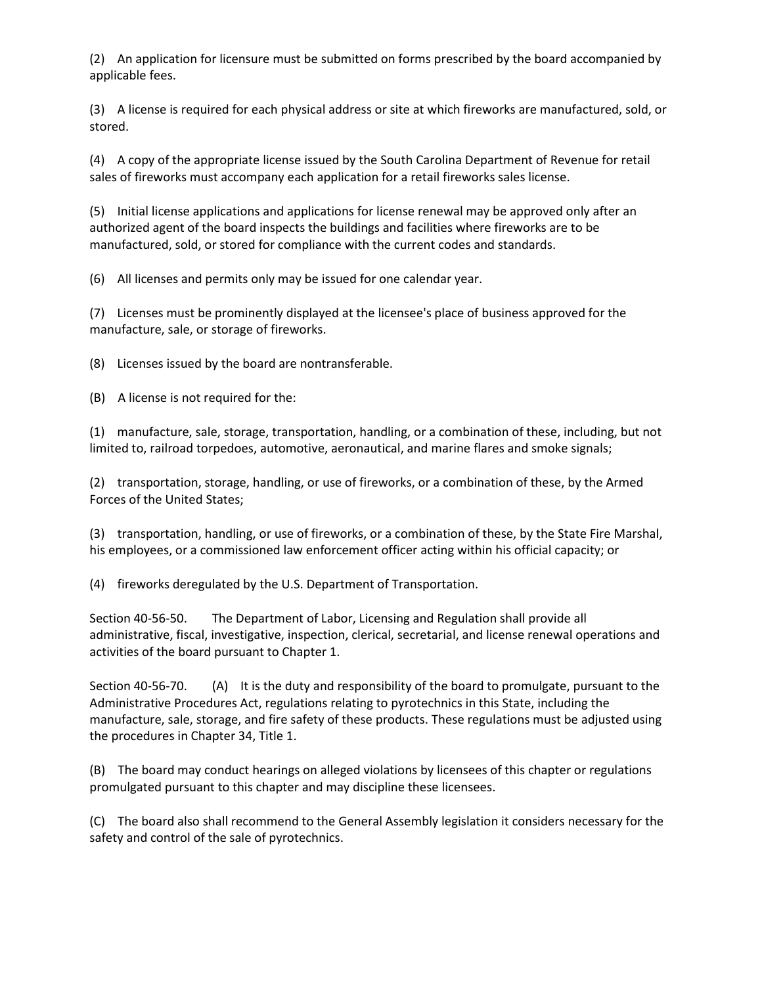(2) An application for licensure must be submitted on forms prescribed by the board accompanied by applicable fees.

(3) A license is required for each physical address or site at which fireworks are manufactured, sold, or stored.

(4) A copy of the appropriate license issued by the South Carolina Department of Revenue for retail sales of fireworks must accompany each application for a retail fireworks sales license.

(5) Initial license applications and applications for license renewal may be approved only after an authorized agent of the board inspects the buildings and facilities where fireworks are to be manufactured, sold, or stored for compliance with the current codes and standards.

(6) All licenses and permits only may be issued for one calendar year.

(7) Licenses must be prominently displayed at the licensee's place of business approved for the manufacture, sale, or storage of fireworks.

(8) Licenses issued by the board are nontransferable.

(B) A license is not required for the:

(1) manufacture, sale, storage, transportation, handling, or a combination of these, including, but not limited to, railroad torpedoes, automotive, aeronautical, and marine flares and smoke signals;

(2) transportation, storage, handling, or use of fireworks, or a combination of these, by the Armed Forces of the United States;

(3) transportation, handling, or use of fireworks, or a combination of these, by the State Fire Marshal, his employees, or a commissioned law enforcement officer acting within his official capacity; or

(4) fireworks deregulated by the U.S. Department of Transportation.

Section 40-56-50. The Department of Labor, Licensing and Regulation shall provide all administrative, fiscal, investigative, inspection, clerical, secretarial, and license renewal operations and activities of the board pursuant to Chapter 1.

Section 40-56-70. (A) It is the duty and responsibility of the board to promulgate, pursuant to the Administrative Procedures Act, regulations relating to pyrotechnics in this State, including the manufacture, sale, storage, and fire safety of these products. These regulations must be adjusted using the procedures in Chapter 34, Title 1.

(B) The board may conduct hearings on alleged violations by licensees of this chapter or regulations promulgated pursuant to this chapter and may discipline these licensees.

(C) The board also shall recommend to the General Assembly legislation it considers necessary for the safety and control of the sale of pyrotechnics.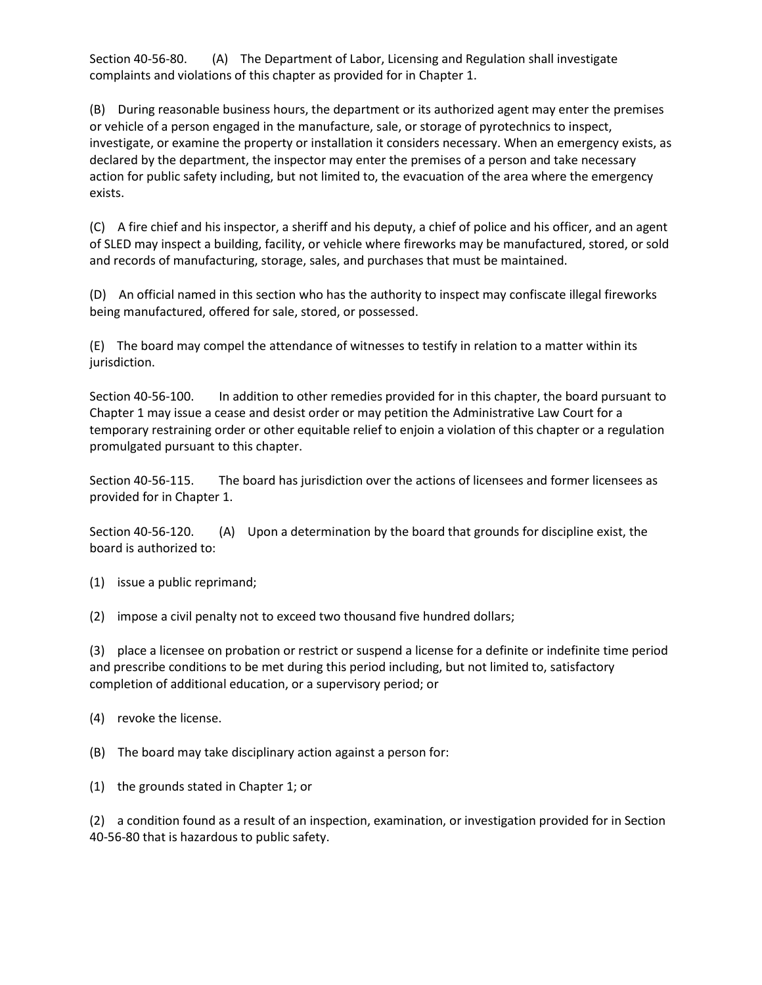Section 40-56-80. (A) The Department of Labor, Licensing and Regulation shall investigate complaints and violations of this chapter as provided for in Chapter 1.

(B) During reasonable business hours, the department or its authorized agent may enter the premises or vehicle of a person engaged in the manufacture, sale, or storage of pyrotechnics to inspect, investigate, or examine the property or installation it considers necessary. When an emergency exists, as declared by the department, the inspector may enter the premises of a person and take necessary action for public safety including, but not limited to, the evacuation of the area where the emergency exists.

(C) A fire chief and his inspector, a sheriff and his deputy, a chief of police and his officer, and an agent of SLED may inspect a building, facility, or vehicle where fireworks may be manufactured, stored, or sold and records of manufacturing, storage, sales, and purchases that must be maintained.

(D) An official named in this section who has the authority to inspect may confiscate illegal fireworks being manufactured, offered for sale, stored, or possessed.

(E) The board may compel the attendance of witnesses to testify in relation to a matter within its jurisdiction.

Section 40-56-100. In addition to other remedies provided for in this chapter, the board pursuant to Chapter 1 may issue a cease and desist order or may petition the Administrative Law Court for a temporary restraining order or other equitable relief to enjoin a violation of this chapter or a regulation promulgated pursuant to this chapter.

Section 40-56-115. The board has jurisdiction over the actions of licensees and former licensees as provided for in Chapter 1.

Section 40-56-120. (A) Upon a determination by the board that grounds for discipline exist, the board is authorized to:

(1) issue a public reprimand;

(2) impose a civil penalty not to exceed two thousand five hundred dollars;

(3) place a licensee on probation or restrict or suspend a license for a definite or indefinite time period and prescribe conditions to be met during this period including, but not limited to, satisfactory completion of additional education, or a supervisory period; or

(4) revoke the license.

(B) The board may take disciplinary action against a person for:

(1) the grounds stated in Chapter 1; or

(2) a condition found as a result of an inspection, examination, or investigation provided for in Section 40-56-80 that is hazardous to public safety.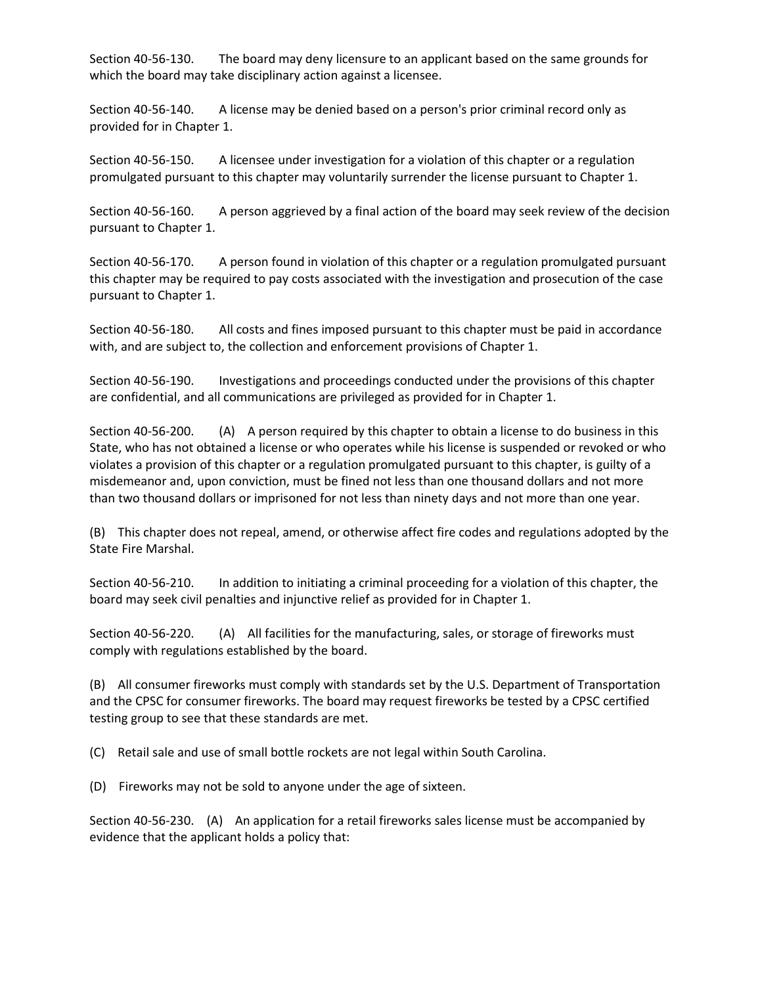Section 40-56-130. The board may deny licensure to an applicant based on the same grounds for which the board may take disciplinary action against a licensee.

Section 40-56-140. A license may be denied based on a person's prior criminal record only as provided for in Chapter 1.

Section 40-56-150. A licensee under investigation for a violation of this chapter or a regulation promulgated pursuant to this chapter may voluntarily surrender the license pursuant to Chapter 1.

Section 40-56-160. A person aggrieved by a final action of the board may seek review of the decision pursuant to Chapter 1.

Section 40-56-170. A person found in violation of this chapter or a regulation promulgated pursuant this chapter may be required to pay costs associated with the investigation and prosecution of the case pursuant to Chapter 1.

Section 40-56-180. All costs and fines imposed pursuant to this chapter must be paid in accordance with, and are subject to, the collection and enforcement provisions of Chapter 1.

Section 40-56-190. Investigations and proceedings conducted under the provisions of this chapter are confidential, and all communications are privileged as provided for in Chapter 1.

Section 40-56-200. (A) A person required by this chapter to obtain a license to do business in this State, who has not obtained a license or who operates while his license is suspended or revoked or who violates a provision of this chapter or a regulation promulgated pursuant to this chapter, is guilty of a misdemeanor and, upon conviction, must be fined not less than one thousand dollars and not more than two thousand dollars or imprisoned for not less than ninety days and not more than one year.

(B) This chapter does not repeal, amend, or otherwise affect fire codes and regulations adopted by the State Fire Marshal.

Section 40-56-210. In addition to initiating a criminal proceeding for a violation of this chapter, the board may seek civil penalties and injunctive relief as provided for in Chapter 1.

Section 40-56-220. (A) All facilities for the manufacturing, sales, or storage of fireworks must comply with regulations established by the board.

(B) All consumer fireworks must comply with standards set by the U.S. Department of Transportation and the CPSC for consumer fireworks. The board may request fireworks be tested by a CPSC certified testing group to see that these standards are met.

(C) Retail sale and use of small bottle rockets are not legal within South Carolina.

(D) Fireworks may not be sold to anyone under the age of sixteen.

Section 40-56-230. (A) An application for a retail fireworks sales license must be accompanied by evidence that the applicant holds a policy that: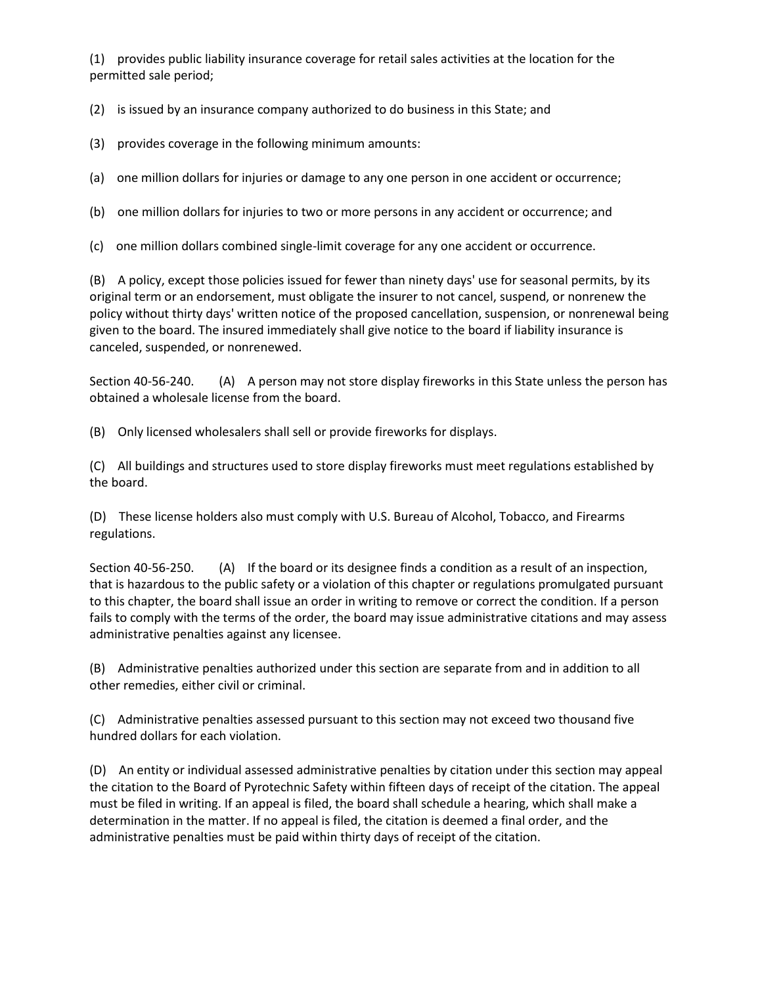(1) provides public liability insurance coverage for retail sales activities at the location for the permitted sale period;

(2) is issued by an insurance company authorized to do business in this State; and

(3) provides coverage in the following minimum amounts:

(a) one million dollars for injuries or damage to any one person in one accident or occurrence;

(b) one million dollars for injuries to two or more persons in any accident or occurrence; and

(c) one million dollars combined single-limit coverage for any one accident or occurrence.

(B) A policy, except those policies issued for fewer than ninety days' use for seasonal permits, by its original term or an endorsement, must obligate the insurer to not cancel, suspend, or nonrenew the policy without thirty days' written notice of the proposed cancellation, suspension, or nonrenewal being given to the board. The insured immediately shall give notice to the board if liability insurance is canceled, suspended, or nonrenewed.

Section 40-56-240. (A) A person may not store display fireworks in this State unless the person has obtained a wholesale license from the board.

(B) Only licensed wholesalers shall sell or provide fireworks for displays.

(C) All buildings and structures used to store display fireworks must meet regulations established by the board.

(D) These license holders also must comply with U.S. Bureau of Alcohol, Tobacco, and Firearms regulations.

Section 40-56-250. (A) If the board or its designee finds a condition as a result of an inspection, that is hazardous to the public safety or a violation of this chapter or regulations promulgated pursuant to this chapter, the board shall issue an order in writing to remove or correct the condition. If a person fails to comply with the terms of the order, the board may issue administrative citations and may assess administrative penalties against any licensee.

(B) Administrative penalties authorized under this section are separate from and in addition to all other remedies, either civil or criminal.

(C) Administrative penalties assessed pursuant to this section may not exceed two thousand five hundred dollars for each violation.

(D) An entity or individual assessed administrative penalties by citation under this section may appeal the citation to the Board of Pyrotechnic Safety within fifteen days of receipt of the citation. The appeal must be filed in writing. If an appeal is filed, the board shall schedule a hearing, which shall make a determination in the matter. If no appeal is filed, the citation is deemed a final order, and the administrative penalties must be paid within thirty days of receipt of the citation.